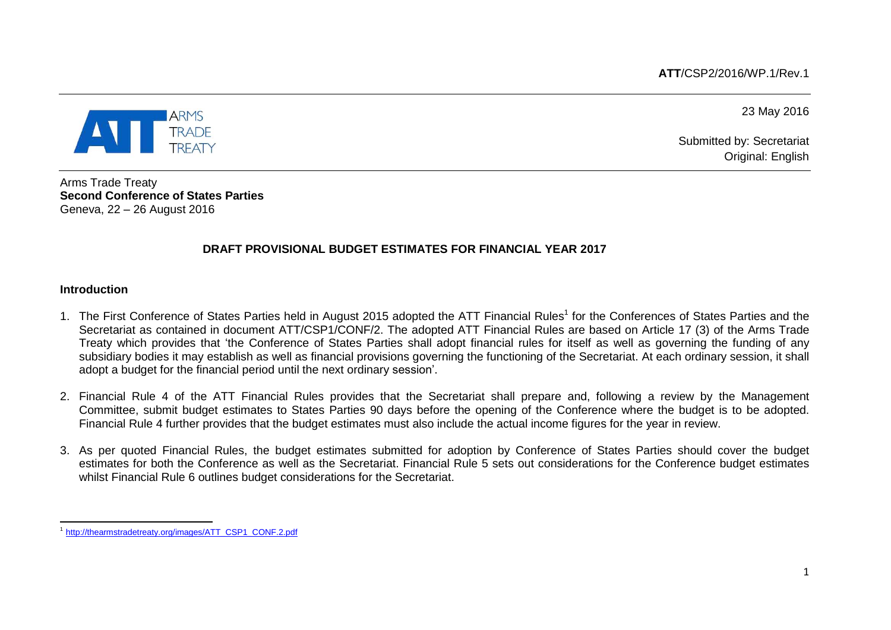**ATT**/CSP2/2016/WP.1/Rev.1

**TRADE** 

23 May 2016

Submitted by: Secretariat Original: English

Arms Trade Treaty **Second Conference of States Parties** Geneva, 22 – 26 August 2016

# **DRAFT PROVISIONAL BUDGET ESTIMATES FOR FINANCIAL YEAR 2017**

### **Introduction**

- 1. The First Conference of States Parties held in August 2015 adopted the ATT Financial Rules<sup>1</sup> for the Conferences of States Parties and the Secretariat as contained in document ATT/CSP1/CONF/2. The adopted ATT Financial Rules are based on Article 17 (3) of the Arms Trade Treaty which provides that 'the Conference of States Parties shall adopt financial rules for itself as well as governing the funding of any subsidiary bodies it may establish as well as financial provisions governing the functioning of the Secretariat. At each ordinary session, it shall adopt a budget for the financial period until the next ordinary session'.
- 2. Financial Rule 4 of the ATT Financial Rules provides that the Secretariat shall prepare and, following a review by the Management Committee, submit budget estimates to States Parties 90 days before the opening of the Conference where the budget is to be adopted. Financial Rule 4 further provides that the budget estimates must also include the actual income figures for the year in review.
- 3. As per quoted Financial Rules, the budget estimates submitted for adoption by Conference of States Parties should cover the budget estimates for both the Conference as well as the Secretariat. Financial Rule 5 sets out considerations for the Conference budget estimates whilst Financial Rule 6 outlines budget considerations for the Secretariat.

 1 [http://thearmstradetreaty.org/images/ATT\\_CSP1\\_CONF.2.pdf](http://thearmstradetreaty.org/images/ATT_CSP1_CONF.2.pdf)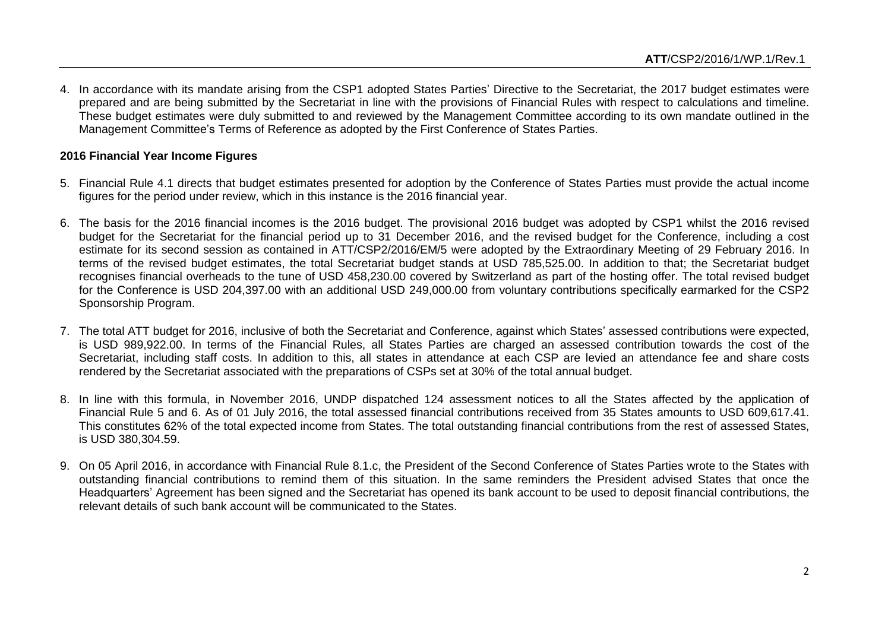4. In accordance with its mandate arising from the CSP1 adopted States Parties' Directive to the Secretariat, the 2017 budget estimates were prepared and are being submitted by the Secretariat in line with the provisions of Financial Rules with respect to calculations and timeline. These budget estimates were duly submitted to and reviewed by the Management Committee according to its own mandate outlined in the Management Committee's Terms of Reference as adopted by the First Conference of States Parties.

## **2016 Financial Year Income Figures**

- 5. Financial Rule 4.1 directs that budget estimates presented for adoption by the Conference of States Parties must provide the actual income figures for the period under review, which in this instance is the 2016 financial year.
- 6. The basis for the 2016 financial incomes is the 2016 budget. The provisional 2016 budget was adopted by CSP1 whilst the 2016 revised budget for the Secretariat for the financial period up to 31 December 2016, and the revised budget for the Conference, including a cost estimate for its second session as contained in ATT/CSP2/2016/EM/5 were adopted by the Extraordinary Meeting of 29 February 2016. In terms of the revised budget estimates, the total Secretariat budget stands at USD 785,525.00. In addition to that; the Secretariat budget recognises financial overheads to the tune of USD 458,230.00 covered by Switzerland as part of the hosting offer. The total revised budget for the Conference is USD 204,397.00 with an additional USD 249,000.00 from voluntary contributions specifically earmarked for the CSP2 Sponsorship Program.
- 7. The total ATT budget for 2016, inclusive of both the Secretariat and Conference, against which States' assessed contributions were expected, is USD 989,922.00. In terms of the Financial Rules, all States Parties are charged an assessed contribution towards the cost of the Secretariat, including staff costs. In addition to this, all states in attendance at each CSP are levied an attendance fee and share costs rendered by the Secretariat associated with the preparations of CSPs set at 30% of the total annual budget.
- 8. In line with this formula, in November 2016, UNDP dispatched 124 assessment notices to all the States affected by the application of Financial Rule 5 and 6. As of 01 July 2016, the total assessed financial contributions received from 35 States amounts to USD 609,617.41. This constitutes 62% of the total expected income from States. The total outstanding financial contributions from the rest of assessed States, is USD 380,304.59.
- 9. On 05 April 2016, in accordance with Financial Rule 8.1.c, the President of the Second Conference of States Parties wrote to the States with outstanding financial contributions to remind them of this situation. In the same reminders the President advised States that once the Headquarters' Agreement has been signed and the Secretariat has opened its bank account to be used to deposit financial contributions, the relevant details of such bank account will be communicated to the States.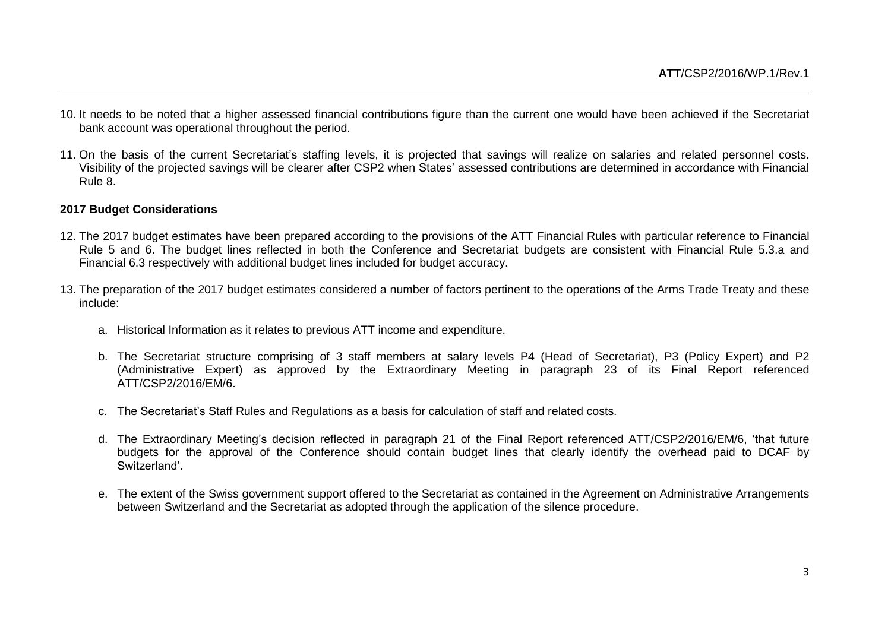- 10. It needs to be noted that a higher assessed financial contributions figure than the current one would have been achieved if the Secretariat bank account was operational throughout the period.
- 11. On the basis of the current Secretariat's staffing levels, it is projected that savings will realize on salaries and related personnel costs. Visibility of the projected savings will be clearer after CSP2 when States' assessed contributions are determined in accordance with Financial Rule 8.

#### **2017 Budget Considerations**

- 12. The 2017 budget estimates have been prepared according to the provisions of the ATT Financial Rules with particular reference to Financial Rule 5 and 6. The budget lines reflected in both the Conference and Secretariat budgets are consistent with Financial Rule 5.3.a and Financial 6.3 respectively with additional budget lines included for budget accuracy.
- 13. The preparation of the 2017 budget estimates considered a number of factors pertinent to the operations of the Arms Trade Treaty and these include:
	- a. Historical Information as it relates to previous ATT income and expenditure.
	- b. The Secretariat structure comprising of 3 staff members at salary levels P4 (Head of Secretariat), P3 (Policy Expert) and P2 (Administrative Expert) as approved by the Extraordinary Meeting in paragraph 23 of its Final Report referenced ATT/CSP2/2016/EM/6.
	- c. The Secretariat's Staff Rules and Regulations as a basis for calculation of staff and related costs.
	- d. The Extraordinary Meeting's decision reflected in paragraph 21 of the Final Report referenced ATT/CSP2/2016/EM/6, 'that future budgets for the approval of the Conference should contain budget lines that clearly identify the overhead paid to DCAF by Switzerland'.
	- e. The extent of the Swiss government support offered to the Secretariat as contained in the Agreement on Administrative Arrangements between Switzerland and the Secretariat as adopted through the application of the silence procedure.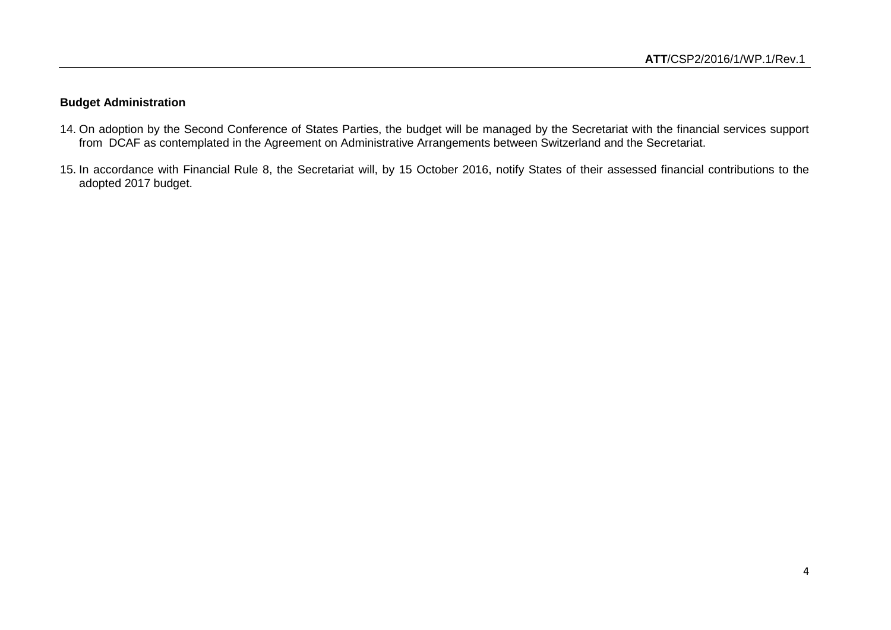## **Budget Administration**

- 14. On adoption by the Second Conference of States Parties, the budget will be managed by the Secretariat with the financial services support from DCAF as contemplated in the Agreement on Administrative Arrangements between Switzerland and the Secretariat.
- 15. In accordance with Financial Rule 8, the Secretariat will, by 15 October 2016, notify States of their assessed financial contributions to the adopted 2017 budget.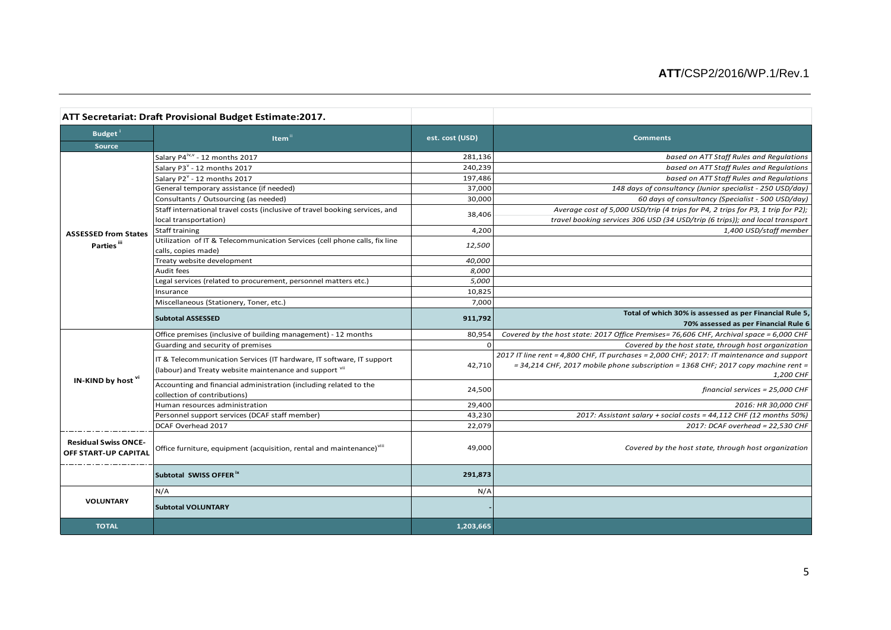|                                                     | ATT Secretariat: Draft Provisional Budget Estimate:2017.                                          |                 |                                                                                                 |
|-----------------------------------------------------|---------------------------------------------------------------------------------------------------|-----------------|-------------------------------------------------------------------------------------------------|
| Budget <sup>1</sup><br>Source                       | Item <sup>1</sup>                                                                                 | est. cost (USD) | <b>Comments</b>                                                                                 |
|                                                     | Salary P4 <sup>iv,v</sup> - 12 months 2017                                                        | 281,136         | based on ATT Staff Rules and Regulations                                                        |
|                                                     | Salary P3 <sup>v</sup> - 12 months 2017                                                           | 240,239         | based on ATT Staff Rules and Regulations                                                        |
|                                                     | Salary P2 <sup>v</sup> - 12 months 2017                                                           | 197,486         | based on ATT Staff Rules and Regulations                                                        |
|                                                     | General temporary assistance (if needed)                                                          | 37,000          | 148 days of consultancy (Junior specialist - 250 USD/day)                                       |
|                                                     | Consultants / Outsourcing (as needed)                                                             | 30,000          | 60 days of consultancy (Specialist - 500 USD/day)                                               |
|                                                     | Staff international travel costs (inclusive of travel booking services, and                       | 38,406          | Average cost of 5,000 USD/trip (4 trips for P4, 2 trips for P3, 1 trip for P2);                 |
|                                                     | local transportation)                                                                             |                 | travel booking services 306 USD (34 USD/trip (6 trips)); and local transport                    |
| <b>ASSESSED from States</b>                         | Staff training                                                                                    | 4,200           | 1,400 USD/staff member                                                                          |
| Parties <sup>iii</sup>                              | Utilization of IT & Telecommunication Services (cell phone calls, fix line<br>calls, copies made) | 12,500          |                                                                                                 |
|                                                     | Treaty website development                                                                        | 40,000          |                                                                                                 |
|                                                     | Audit fees                                                                                        | 8,000           |                                                                                                 |
|                                                     | Legal services (related to procurement, personnel matters etc.)                                   | 5,000           |                                                                                                 |
|                                                     | Insurance                                                                                         | 10,825          |                                                                                                 |
|                                                     | Miscellaneous (Stationery, Toner, etc.)                                                           | 7,000           |                                                                                                 |
|                                                     | <b>Subtotal ASSESSED</b>                                                                          | 911,792         | Total of which 30% is assessed as per Financial Rule 5,<br>70% assessed as per Financial Rule 6 |
| IN-KIND by host vi                                  | Office premises (inclusive of building management) - 12 months                                    | 80,954          | Covered by the host state: 2017 Office Premises= 76,606 CHF, Archival space = 6,000 CHF         |
|                                                     | Guarding and security of premises                                                                 | $\Omega$        | Covered by the host state, through host organization                                            |
|                                                     |                                                                                                   |                 | 2017 IT line rent = 4,800 CHF, IT purchases = 2,000 CHF; 2017: IT maintenance and support       |
|                                                     | IT & Telecommunication Services (IT hardware, IT software, IT support                             | 42,710          | $=$ 34,214 CHF, 2017 mobile phone subscription = 1368 CHF; 2017 copy machine rent =             |
|                                                     | (labour) and Treaty website maintenance and support vil                                           |                 | 1,200 CHF                                                                                       |
|                                                     | Accounting and financial administration (including related to the                                 | 24,500          | financial services = 25,000 CHF                                                                 |
|                                                     | collection of contributions)                                                                      |                 |                                                                                                 |
|                                                     | Human resources administration                                                                    | 29,400          | 2016: HR 30,000 CHF                                                                             |
|                                                     | Personnel support services (DCAF staff member)                                                    | 43,230          | 2017: Assistant salary + social costs = 44,112 CHF (12 months 50%)                              |
|                                                     | DCAF Overhead 2017                                                                                | 22,079          | 2017: DCAF overhead = 22,530 CHF                                                                |
| <b>Residual Swiss ONCE-</b><br>OFF START-UP CAPITAL | Office furniture, equipment (acquisition, rental and maintenance) <sup>viii</sup>                 | 49,000          | Covered by the host state, through host organization                                            |
|                                                     | Subtotal SWISS OFFER <sup>ix</sup>                                                                | 291,873         |                                                                                                 |
| <b>VOLUNTARY</b>                                    | N/A                                                                                               | N/A             |                                                                                                 |
|                                                     | <b>Subtotal VOLUNTARY</b>                                                                         |                 |                                                                                                 |
| <b>TOTAL</b>                                        |                                                                                                   | 1,203,665       |                                                                                                 |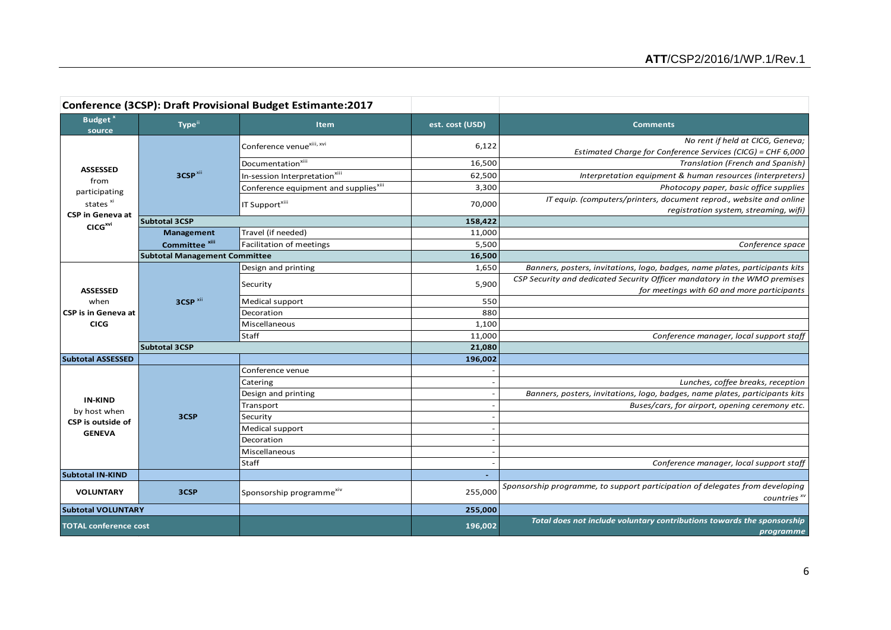|                                                                                                                    |                                      | Conference (3CSP): Draft Provisional Budget Estimante:2017 |                 |                                                                                                              |
|--------------------------------------------------------------------------------------------------------------------|--------------------------------------|------------------------------------------------------------|-----------------|--------------------------------------------------------------------------------------------------------------|
| Budget <sup>x</sup><br>source                                                                                      | Type <sup>ii</sup>                   | <b>Item</b>                                                | est. cost (USD) | <b>Comments</b>                                                                                              |
| <b>ASSESSED</b><br>from<br>participating<br>states <sup>xi</sup><br><b>CSP</b> in Geneva at<br>CICG <sup>xvi</sup> | 3CSP <sup>xii</sup>                  | Conference venue <sup>xiii, xvi</sup>                      | 6,122           | No rent if held at CICG, Geneva;<br>Estimated Charge for Conference Services (CICG) = CHF 6,000              |
|                                                                                                                    |                                      | Documentation <sup>xiii</sup>                              | 16,500          | Translation (French and Spanish)                                                                             |
|                                                                                                                    |                                      | In-session Interpretation <sup>xiii</sup>                  | 62,500          | Interpretation equipment & human resources (interpreters)                                                    |
|                                                                                                                    |                                      | Conference equipment and supplies <sup>xiii</sup>          | 3,300           | Photocopy paper, basic office supplies                                                                       |
|                                                                                                                    |                                      | IT Support <sup>xiii</sup>                                 | 70,000          | IT equip. (computers/printers, document reprod., website and online<br>registration system, streaming, wifi) |
|                                                                                                                    | <b>Subtotal 3CSP</b>                 |                                                            | 158,422         |                                                                                                              |
|                                                                                                                    | Management                           | Travel (if needed)                                         | 11,000          |                                                                                                              |
|                                                                                                                    | Committee <sup>xiii</sup>            | Facilitation of meetings                                   | 5,500           | Conference space                                                                                             |
|                                                                                                                    | <b>Subtotal Management Committee</b> |                                                            | 16,500          |                                                                                                              |
|                                                                                                                    | 3CSP <sup>xii</sup>                  | Design and printing                                        | 1,650           | Banners, posters, invitations, logo, badges, name plates, participants kits                                  |
|                                                                                                                    |                                      | Security                                                   | 5,900           | CSP Security and dedicated Security Officer mandatory in the WMO premises                                    |
| <b>ASSESSED</b>                                                                                                    |                                      |                                                            |                 | for meetings with 60 and more participants                                                                   |
| when                                                                                                               |                                      | Medical support                                            | 550             |                                                                                                              |
| <b>CSP</b> is in Geneva at<br><b>CICG</b>                                                                          |                                      | Decoration<br>Miscellaneous                                | 880<br>1,100    |                                                                                                              |
|                                                                                                                    |                                      | Staff                                                      | 11,000          | Conference manager, local support staff                                                                      |
|                                                                                                                    | <b>Subtotal 3CSP</b>                 |                                                            | 21,080          |                                                                                                              |
| <b>Subtotal ASSESSED</b>                                                                                           |                                      |                                                            | 196,002         |                                                                                                              |
| <b>IN-KIND</b><br>by host when                                                                                     | 3CSP                                 | Conference venue                                           |                 |                                                                                                              |
|                                                                                                                    |                                      | Catering                                                   |                 | Lunches, coffee breaks, reception                                                                            |
|                                                                                                                    |                                      | Design and printing                                        |                 | Banners, posters, invitations, logo, badges, name plates, participants kits                                  |
|                                                                                                                    |                                      | Transport                                                  |                 | Buses/cars, for airport, opening ceremony etc.                                                               |
|                                                                                                                    |                                      | Security                                                   |                 |                                                                                                              |
| CSP is outside of<br><b>GENEVA</b>                                                                                 |                                      | Medical support                                            |                 |                                                                                                              |
|                                                                                                                    |                                      | Decoration                                                 |                 |                                                                                                              |
|                                                                                                                    |                                      | Miscellaneous                                              |                 |                                                                                                              |
|                                                                                                                    |                                      | Staff                                                      |                 | Conference manager, local support staff                                                                      |
| <b>Subtotal IN-KIND</b>                                                                                            |                                      |                                                            |                 |                                                                                                              |
| <b>VOLUNTARY</b>                                                                                                   | 3CSP                                 | Sponsorship programme <sup>xiv</sup>                       | 255,000         | Sponsorship programme, to support participation of delegates from developing<br>countries $x^{\nu}$          |
| <b>Subtotal VOLUNTARY</b>                                                                                          |                                      |                                                            | 255,000         |                                                                                                              |
| <b>TOTAL conference cost</b>                                                                                       |                                      |                                                            | 196,002         | Total does not include voluntary contributions towards the sponsorship<br>programme                          |